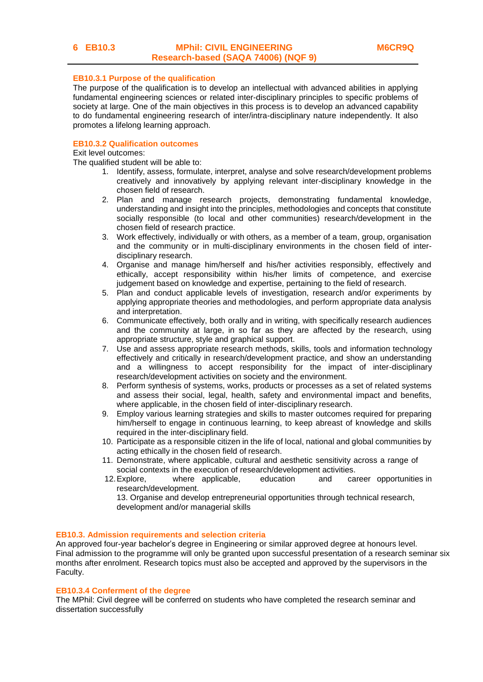## **EB10.3.1 Purpose of the qualification**

The purpose of the qualification is to develop an intellectual with advanced abilities in applying fundamental engineering sciences or related inter-disciplinary principles to specific problems of society at large. One of the main objectives in this process is to develop an advanced capability to do fundamental engineering research of inter/intra-disciplinary nature independently. It also promotes a lifelong learning approach.

#### **EB10.3.2 Qualification outcomes**

Exit level outcomes:

The qualified student will be able to:

- 1. Identify, assess, formulate, interpret, analyse and solve research/development problems creatively and innovatively by applying relevant inter-disciplinary knowledge in the chosen field of research.
- 2. Plan and manage research projects, demonstrating fundamental knowledge, understanding and insight into the principles, methodologies and concepts that constitute socially responsible (to local and other communities) research/development in the chosen field of research practice.
- 3. Work effectively, individually or with others, as a member of a team, group, organisation and the community or in multi-disciplinary environments in the chosen field of interdisciplinary research.
- 4. Organise and manage him/herself and his/her activities responsibly, effectively and ethically, accept responsibility within his/her limits of competence, and exercise judgement based on knowledge and expertise, pertaining to the field of research.
- 5. Plan and conduct applicable levels of investigation, research and/or experiments by applying appropriate theories and methodologies, and perform appropriate data analysis and interpretation.
- 6. Communicate effectively, both orally and in writing, with specifically research audiences and the community at large, in so far as they are affected by the research, using appropriate structure, style and graphical support.
- 7. Use and assess appropriate research methods, skills, tools and information technology effectively and critically in research/development practice, and show an understanding and a willingness to accept responsibility for the impact of inter-disciplinary research/development activities on society and the environment.
- 8. Perform synthesis of systems, works, products or processes as a set of related systems and assess their social, legal, health, safety and environmental impact and benefits, where applicable, in the chosen field of inter-disciplinary research.
- 9. Employ various learning strategies and skills to master outcomes required for preparing him/herself to engage in continuous learning, to keep abreast of knowledge and skills required in the inter-disciplinary field.
- 10. Participate as a responsible citizen in the life of local, national and global communities by acting ethically in the chosen field of research.
- 11. Demonstrate, where applicable, cultural and aesthetic sensitivity across a range of social contexts in the execution of research/development activities.
- 12.Explore, where applicable, education and career opportunities in research/development.

13. Organise and develop entrepreneurial opportunities through technical research, development and/or managerial skills

# **EB10.3. Admission requirements and selection criteria**

An approved four-year bachelor's degree in Engineering or similar approved degree at honours level. Final admission to the programme will only be granted upon successful presentation of a research seminar six months after enrolment. Research topics must also be accepted and approved by the supervisors in the Faculty.

### **EB10.3.4 Conferment of the degree**

The MPhil: Civil degree will be conferred on students who have completed the research seminar and dissertation successfully